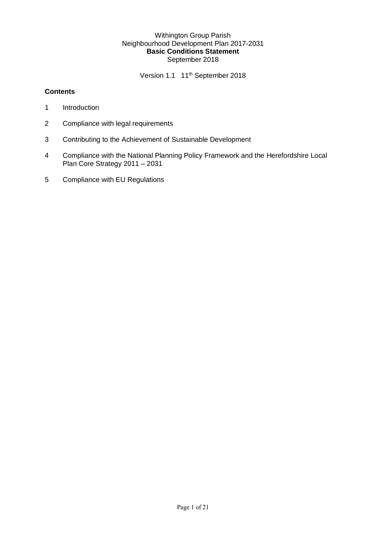#### Withington Group Parish Neighbourhood Development Plan 2017-2031 **Basic Conditions Statement** September 2018

Version 1.1 11<sup>th</sup> September 2018

#### **Contents**

- 1 Introduction
- 2 Compliance with legal requirements
- 3 Contributing to the Achievement of Sustainable Development
- 4 Compliance with the National Planning Policy Framework and the Herefordshire Local Plan Core Strategy 2011 – 2031
- 5 Compliance with EU Regulations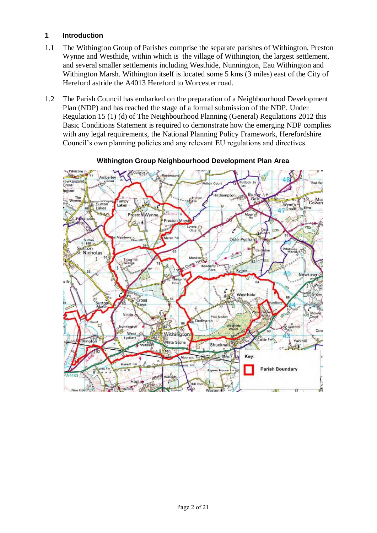### **1 Introduction**

- 1.1 The Withington Group of Parishes comprise the separate parishes of Withington, Preston Wynne and Westhide, within which is the village of Withington, the largest settlement, and several smaller settlements including Westhide, Nunnington, Eau Withington and Withington Marsh. Withington itself is located some 5 kms (3 miles) east of the City of Hereford astride the A4013 Hereford to Worcester road.
- 1.2 The Parish Council has embarked on the preparation of a Neighbourhood Development Plan (NDP) and has reached the stage of a formal submission of the NDP. Under Regulation 15 (1) (d) of The Neighbourhood Planning (General) Regulations 2012 this Basic Conditions Statement is required to demonstrate how the emerging NDP complies with any legal requirements, the National Planning Policy Framework, Herefordshire Council's own planning policies and any relevant EU regulations and directives.



#### **Withington Group Neighbourhood Development Plan Area**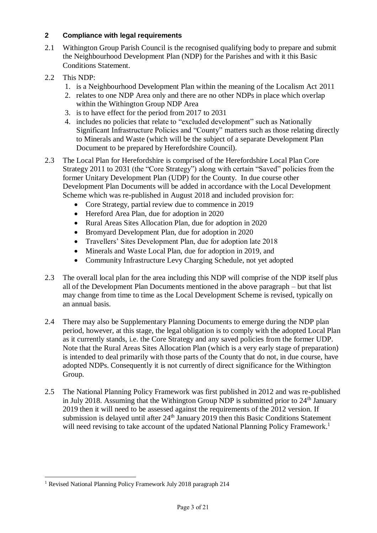## **2 Compliance with legal requirements**

- 2.1 Withington Group Parish Council is the recognised qualifying body to prepare and submit the Neighbourhood Development Plan (NDP) for the Parishes and with it this Basic Conditions Statement.
- 2.2 This NDP:
	- 1. is a Neighbourhood Development Plan within the meaning of the Localism Act 2011
	- 2. relates to one NDP Area only and there are no other NDPs in place which overlap within the Withington Group NDP Area
	- 3. is to have effect for the period from 2017 to 2031
	- 4. includes no policies that relate to "excluded development" such as Nationally Significant Infrastructure Policies and "County" matters such as those relating directly to Minerals and Waste (which will be the subject of a separate Development Plan Document to be prepared by Herefordshire Council).
- 2.3 The Local Plan for Herefordshire is comprised of the Herefordshire Local Plan Core Strategy 2011 to 2031 (the "Core Strategy") along with certain "Saved" policies from the former Unitary Development Plan (UDP) for the County. In due course other Development Plan Documents will be added in accordance with the Local Development Scheme which was re-published in August 2018 and included provision for:
	- Core Strategy, partial review due to commence in 2019
	- Hereford Area Plan, due for adoption in 2020
	- Rural Areas Sites Allocation Plan, due for adoption in 2020
	- Bromyard Development Plan, due for adoption in 2020
	- Travellers' Sites Development Plan, due for adoption late 2018
	- Minerals and Waste Local Plan, due for adoption in 2019, and
	- Community Infrastructure Levy Charging Schedule, not yet adopted
- 2.3 The overall local plan for the area including this NDP will comprise of the NDP itself plus all of the Development Plan Documents mentioned in the above paragraph – but that list may change from time to time as the Local Development Scheme is revised, typically on an annual basis.
- 2.4 There may also be Supplementary Planning Documents to emerge during the NDP plan period, however, at this stage, the legal obligation is to comply with the adopted Local Plan as it currently stands, i.e. the Core Strategy and any saved policies from the former UDP. Note that the Rural Areas Sites Allocation Plan (which is a very early stage of preparation) is intended to deal primarily with those parts of the County that do not, in due course, have adopted NDPs. Consequently it is not currently of direct significance for the Withington Group.
- 2.5 The National Planning Policy Framework was first published in 2012 and was re-published in July 2018. Assuming that the Withington Group NDP is submitted prior to  $24<sup>th</sup>$  January 2019 then it will need to be assessed against the requirements of the 2012 version. If submission is delayed until after  $24<sup>th</sup>$  January 2019 then this Basic Conditions Statement will need revising to take account of the updated National Planning Policy Framework.<sup>1</sup>

<sup>&</sup>lt;u>.</u> <sup>1</sup> Revised National Planning Policy Framework July 2018 paragraph 214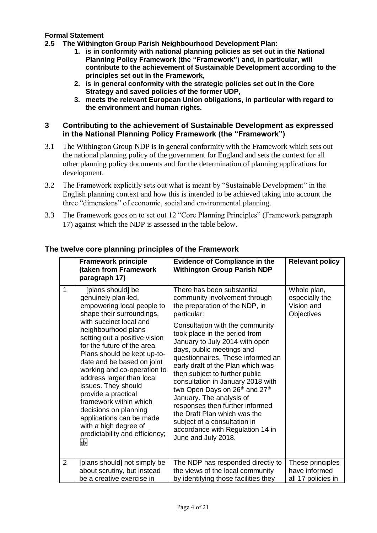### **Formal Statement**

- **2.5 The Withington Group Parish Neighbourhood Development Plan:**
	- **1. is in conformity with national planning policies as set out in the National Planning Policy Framework (the "Framework") and, in particular, will contribute to the achievement of Sustainable Development according to the principles set out in the Framework,**
	- **2. is in general conformity with the strategic policies set out in the Core Strategy and saved policies of the former UDP,**
	- **3. meets the relevant European Union obligations, in particular with regard to the environment and human rights.**

#### **3 Contributing to the achievement of Sustainable Development as expressed in the National Planning Policy Framework (the "Framework")**

- 3.1 The Withington Group NDP is in general conformity with the Framework which sets out the national planning policy of the government for England and sets the context for all other planning policy documents and for the determination of planning applications for development.
- 3.2 The Framework explicitly sets out what is meant by "Sustainable Development" in the English planning context and how this is intended to be achieved taking into account the three "dimensions" of economic, social and environmental planning.
- 3.3 The Framework goes on to set out 12 "Core Planning Principles" (Framework paragraph 17) against which the NDP is assessed in the table below.

|              | <b>Framework principle</b><br>(taken from Framework<br>paragraph 17)                                                                                                                                                                                                                                                                                                                                                                                                                                                                                     | <b>Evidence of Compliance in the</b><br><b>Withington Group Parish NDP</b>                                                                                                                                                                                                                                                                                                                                                                                                                                                                                                                                                                           | <b>Relevant policy</b>                                    |
|--------------|----------------------------------------------------------------------------------------------------------------------------------------------------------------------------------------------------------------------------------------------------------------------------------------------------------------------------------------------------------------------------------------------------------------------------------------------------------------------------------------------------------------------------------------------------------|------------------------------------------------------------------------------------------------------------------------------------------------------------------------------------------------------------------------------------------------------------------------------------------------------------------------------------------------------------------------------------------------------------------------------------------------------------------------------------------------------------------------------------------------------------------------------------------------------------------------------------------------------|-----------------------------------------------------------|
| $\mathbf{1}$ | [plans should] be<br>genuinely plan-led,<br>empowering local people to<br>shape their surroundings,<br>with succinct local and<br>neighbourhood plans<br>setting out a positive vision<br>for the future of the area.<br>Plans should be kept up-to-<br>date and be based on joint<br>working and co-operation to<br>address larger than local<br>issues. They should<br>provide a practical<br>framework within which<br>decisions on planning<br>applications can be made<br>with a high degree of<br>predictability and efficiency;<br>FTEER<br>ISERI | There has been substantial<br>community involvement through<br>the preparation of the NDP, in<br>particular:<br>Consultation with the community<br>took place in the period from<br>January to July 2014 with open<br>days, public meetings and<br>questionnaires. These informed an<br>early draft of the Plan which was<br>then subject to further public<br>consultation in January 2018 with<br>two Open Days on 26 <sup>th</sup> and 27 <sup>th</sup><br>January. The analysis of<br>responses then further informed<br>the Draft Plan which was the<br>subject of a consultation in<br>accordance with Regulation 14 in<br>June and July 2018. | Whole plan,<br>especially the<br>Vision and<br>Objectives |
| 2            | [plans should] not simply be<br>about scrutiny, but instead<br>be a creative exercise in                                                                                                                                                                                                                                                                                                                                                                                                                                                                 | The NDP has responded directly to<br>the views of the local community<br>by identifying those facilities they                                                                                                                                                                                                                                                                                                                                                                                                                                                                                                                                        | These principles<br>have informed<br>all 17 policies in   |

### **The twelve core planning principles of the Framework**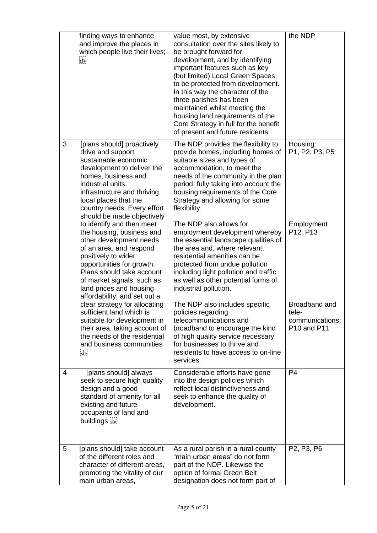|   | finding ways to enhance<br>and improve the places in<br>which people live their lives;<br>F TEP!<br>!SEP!                                                                                                                                                                              | value most, by extensive<br>consultation over the sites likely to<br>be brought forward for<br>development, and by identifying<br>important features such as key<br>(but limited) Local Green Spaces<br>to be protected from development.<br>In this way the character of the<br>three parishes has been<br>maintained whilst meeting the<br>housing land requirements of the<br>Core Strategy in full for the benefit<br>of present and future residents. | the NDP                                                         |
|---|----------------------------------------------------------------------------------------------------------------------------------------------------------------------------------------------------------------------------------------------------------------------------------------|------------------------------------------------------------------------------------------------------------------------------------------------------------------------------------------------------------------------------------------------------------------------------------------------------------------------------------------------------------------------------------------------------------------------------------------------------------|-----------------------------------------------------------------|
| 3 | [plans should] proactively<br>drive and support<br>sustainable economic<br>development to deliver the<br>homes, business and<br>industrial units,<br>infrastructure and thriving<br>local places that the<br>country needs. Every effort<br>should be made objectively                 | The NDP provides the flexibility to<br>provide homes, including homes of<br>suitable sizes and types of<br>accommodation, to meet the<br>needs of the community in the plan<br>period, fully taking into account the<br>housing requirements of the Core<br>Strategy and allowing for some<br>flexibility.                                                                                                                                                 | Housing:<br>P1, P2, P3, P5                                      |
|   | to identify and then meet<br>the housing, business and<br>other development needs<br>of an area, and respond<br>positively to wider<br>opportunities for growth.<br>Plans should take account<br>of market signals, such as<br>land prices and housing<br>affordability, and set out a | The NDP also allows for<br>employment development whereby<br>the essential landscape qualities of<br>the area and, where relevant,<br>residential amenities can be<br>protected from undue pollution<br>including light pollution and traffic<br>as well as other potential forms of<br>industrial pollution.                                                                                                                                              | Employment<br>P12, P13                                          |
|   | clear strategy for allocating<br>sufficient land which is<br>suitable for development in<br>their area, taking account of<br>the needs of the residential<br>and business communities<br>F TERE<br>ISEPI                                                                               | The NDP also includes specific<br>policies regarding<br>telecommunications and<br>broadband to encourage the kind<br>of high quality service necessary<br>for businesses to thrive and<br>residents to have access to on-line<br>services.                                                                                                                                                                                                                 | <b>Broadband and</b><br>tele-<br>communications:<br>P10 and P11 |
| 4 | [plans should] always<br>seek to secure high quality<br>design and a good<br>standard of amenity for all<br>existing and future<br>occupants of land and<br>buildings sep-                                                                                                             | Considerable efforts have gone<br>into the design policies which<br>reflect local distinctiveness and<br>seek to enhance the quality of<br>development.                                                                                                                                                                                                                                                                                                    | P <sub>4</sub>                                                  |
| 5 | [plans should] take account<br>of the different roles and<br>character of different areas,<br>promoting the vitality of our<br>main urban areas,                                                                                                                                       | As a rural parish in a rural county<br>"main urban areas" do not form<br>part of the NDP. Likewise the<br>option of formal Green Belt<br>designation does not form part of                                                                                                                                                                                                                                                                                 | P2, P3, P6                                                      |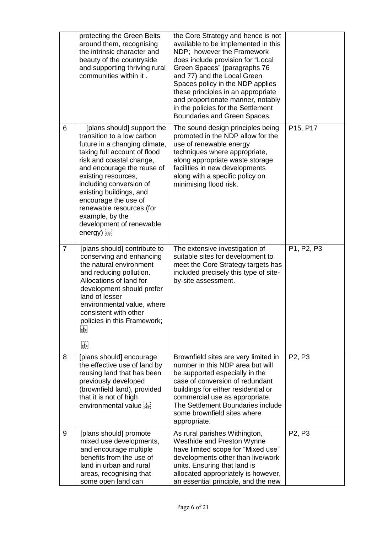|                | protecting the Green Belts<br>around them, recognising<br>the intrinsic character and<br>beauty of the countryside<br>and supporting thriving rural<br>communities within it.                                                                                                                                                                                                             | the Core Strategy and hence is not<br>available to be implemented in this<br>NDP: however the Framework<br>does include provision for "Local<br>Green Spaces" (paragraphs 76<br>and 77) and the Local Green<br>Spaces policy in the NDP applies<br>these principles in an appropriate<br>and proportionate manner, notably<br>in the policies for the Settlement<br>Boundaries and Green Spaces. |            |
|----------------|-------------------------------------------------------------------------------------------------------------------------------------------------------------------------------------------------------------------------------------------------------------------------------------------------------------------------------------------------------------------------------------------|--------------------------------------------------------------------------------------------------------------------------------------------------------------------------------------------------------------------------------------------------------------------------------------------------------------------------------------------------------------------------------------------------|------------|
| 6              | [plans should] support the<br>transition to a low carbon<br>future in a changing climate,<br>taking full account of flood<br>risk and coastal change,<br>and encourage the reuse of<br>existing resources,<br>including conversion of<br>existing buildings, and<br>encourage the use of<br>renewable resources (for<br>example, by the<br>development of renewable<br>$energy)$ $s_{EP}$ | The sound design principles being<br>promoted in the NDP allow for the<br>use of renewable energy<br>techniques where appropriate,<br>along appropriate waste storage<br>facilities in new developments<br>along with a specific policy on<br>minimising flood risk.                                                                                                                             | P15, P17   |
| $\overline{7}$ | [plans should] contribute to<br>conserving and enhancing<br>the natural environment<br>and reducing pollution.<br>Allocations of land for<br>development should prefer<br>land of lesser<br>environmental value, where<br>consistent with other<br>policies in this Framework;<br>i L<br>SEP,<br>r Tring<br>1939                                                                          | The extensive investigation of<br>suitable sites for development to<br>meet the Core Strategy targets has<br>included precisely this type of site-<br>by-site assessment.                                                                                                                                                                                                                        | P1, P2, P3 |
| 8              | [plans should] encourage<br>the effective use of land by<br>reusing land that has been<br>previously developed<br>(brownfield land), provided<br>that it is not of high<br>environmental value                                                                                                                                                                                            | Brownfield sites are very limited in<br>number in this NDP area but will<br>be supported especially in the<br>case of conversion of redundant<br>buildings for either residential or<br>commercial use as appropriate.<br>The Settlement Boundaries include<br>some brownfield sites where<br>appropriate.                                                                                       | P2, P3     |
| 9              | [plans should] promote<br>mixed use developments,<br>and encourage multiple<br>benefits from the use of<br>land in urban and rural<br>areas, recognising that<br>some open land can                                                                                                                                                                                                       | As rural parishes Withington,<br>Westhide and Preston Wynne<br>have limited scope for "Mixed use"<br>developments other than live/work<br>units. Ensuring that land is<br>allocated appropriately is however,<br>an essential principle, and the new                                                                                                                                             | P2, P3     |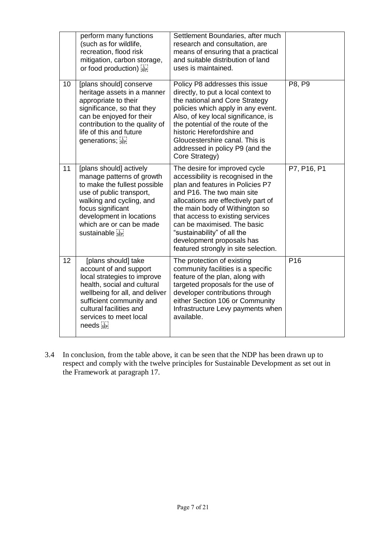|    | perform many functions<br>(such as for wildlife,<br>recreation, flood risk<br>mitigation, carbon storage,<br>or food production)                                                                                                             | Settlement Boundaries, after much<br>research and consultation, are<br>means of ensuring that a practical<br>and suitable distribution of land<br>uses is maintained.                                                                                                                                                                                                                 |                 |
|----|----------------------------------------------------------------------------------------------------------------------------------------------------------------------------------------------------------------------------------------------|---------------------------------------------------------------------------------------------------------------------------------------------------------------------------------------------------------------------------------------------------------------------------------------------------------------------------------------------------------------------------------------|-----------------|
| 10 | [plans should] conserve<br>heritage assets in a manner<br>appropriate to their<br>significance, so that they<br>can be enjoyed for their<br>contribution to the quality of<br>life of this and future<br>generations; see                    | Policy P8 addresses this issue<br>directly, to put a local context to<br>the national and Core Strategy<br>policies which apply in any event.<br>Also, of key local significance, is<br>the potential of the route of the<br>historic Herefordshire and<br>Gloucestershire canal. This is<br>addressed in policy P9 (and the<br>Core Strategy)                                        | P8, P9          |
| 11 | [plans should] actively<br>manage patterns of growth<br>to make the fullest possible<br>use of public transport,<br>walking and cycling, and<br>focus significant<br>development in locations<br>which are or can be made<br>sustainable see | The desire for improved cycle<br>accessibility is recognised in the<br>plan and features in Policies P7<br>and P16. The two main site<br>allocations are effectively part of<br>the main body of Withington so<br>that access to existing services<br>can be maximised. The basic<br>"sustainability" of all the<br>development proposals has<br>featured strongly in site selection. | P7, P16, P1     |
| 12 | [plans should] take<br>account of and support<br>local strategies to improve<br>health, social and cultural<br>wellbeing for all, and deliver<br>sufficient community and<br>cultural facilities and<br>services to meet local<br>needs see  | The protection of existing<br>community facilities is a specific<br>feature of the plan, along with<br>targeted proposals for the use of<br>developer contributions through<br>either Section 106 or Community<br>Infrastructure Levy payments when<br>available.                                                                                                                     | P <sub>16</sub> |

3.4 In conclusion, from the table above, it can be seen that the NDP has been drawn up to respect and comply with the twelve principles for Sustainable Development as set out in the Framework at paragraph 17.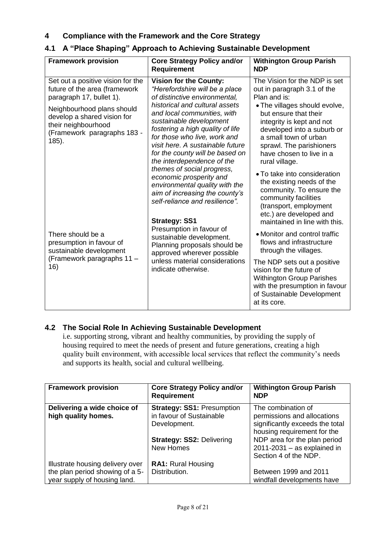# **4 Compliance with the Framework and the Core Strategy**

# **4.1 A "Place Shaping" Approach to Achieving Sustainable Development**

| <b>Framework provision</b>                                                                                                                                                                                                 | <b>Core Strategy Policy and/or</b><br><b>Requirement</b>                                                                                                                                                                                                                                                                                                                                                                                                                                                                             | <b>Withington Group Parish</b><br><b>NDP</b>                                                                                                                                                                                                                                                                                                                                                                                                                               |
|----------------------------------------------------------------------------------------------------------------------------------------------------------------------------------------------------------------------------|--------------------------------------------------------------------------------------------------------------------------------------------------------------------------------------------------------------------------------------------------------------------------------------------------------------------------------------------------------------------------------------------------------------------------------------------------------------------------------------------------------------------------------------|----------------------------------------------------------------------------------------------------------------------------------------------------------------------------------------------------------------------------------------------------------------------------------------------------------------------------------------------------------------------------------------------------------------------------------------------------------------------------|
| Set out a positive vision for the<br>future of the area (framework<br>paragraph 17, bullet 1).<br>Neighbourhood plans should<br>develop a shared vision for<br>their neighbourhood<br>(Framework paragraphs 183 -<br>185). | <b>Vision for the County:</b><br>"Herefordshire will be a place<br>of distinctive environmental,<br>historical and cultural assets<br>and local communities, with<br>sustainable development<br>fostering a high quality of life<br>for those who live, work and<br>visit here. A sustainable future<br>for the county will be based on<br>the interdependence of the<br>themes of social progress,<br>economic prosperity and<br>environmental quality with the<br>aim of increasing the county's<br>self-reliance and resilience". | The Vision for the NDP is set<br>out in paragraph 3.1 of the<br>Plan and is:<br>. The villages should evolve,<br>but ensure that their<br>integrity is kept and not<br>developed into a suburb or<br>a small town of urban<br>sprawl. The parishioners<br>have chosen to live in a<br>rural village.<br>• To take into consideration<br>the existing needs of the<br>community. To ensure the<br>community facilities<br>(transport, employment<br>etc.) are developed and |
| There should be a<br>presumption in favour of<br>sustainable development<br>(Framework paragraphs 11 -<br>16)                                                                                                              | <b>Strategy: SS1</b><br>Presumption in favour of<br>sustainable development.<br>Planning proposals should be<br>approved wherever possible<br>unless material considerations<br>indicate otherwise.                                                                                                                                                                                                                                                                                                                                  | maintained in line with this.<br>• Monitor and control traffic<br>flows and infrastructure<br>through the villages.<br>The NDP sets out a positive<br>vision for the future of<br><b>Withington Group Parishes</b><br>with the presumption in favour<br>of Sustainable Development<br>at its core.                                                                                                                                                                         |

## **4.2 The Social Role In Achieving Sustainable Development**

i.e. supporting strong, vibrant and healthy communities, by providing the supply of housing required to meet the needs of present and future generations, creating a high quality built environment, with accessible local services that reflect the community's needs and supports its health, social and cultural wellbeing.

| <b>Framework provision</b>                                      | <b>Core Strategy Policy and/or</b><br><b>Requirement</b>                                                          | <b>Withington Group Parish</b><br><b>NDP</b>                                                                                                        |
|-----------------------------------------------------------------|-------------------------------------------------------------------------------------------------------------------|-----------------------------------------------------------------------------------------------------------------------------------------------------|
| Delivering a wide choice of<br>high quality homes.              | <b>Strategy: SS1: Presumption</b><br>in favour of Sustainable<br>Development.<br><b>Strategy: SS2: Delivering</b> | The combination of<br>permissions and allocations<br>significantly exceeds the total<br>housing requirement for the<br>NDP area for the plan period |
|                                                                 | <b>New Homes</b>                                                                                                  | $2011 - 2031 - as explained in$<br>Section 4 of the NDP.                                                                                            |
| Illustrate housing delivery over                                | <b>RA1: Rural Housing</b>                                                                                         |                                                                                                                                                     |
| the plan period showing of a 5-<br>year supply of housing land. | Distribution.                                                                                                     | Between 1999 and 2011<br>windfall developments have                                                                                                 |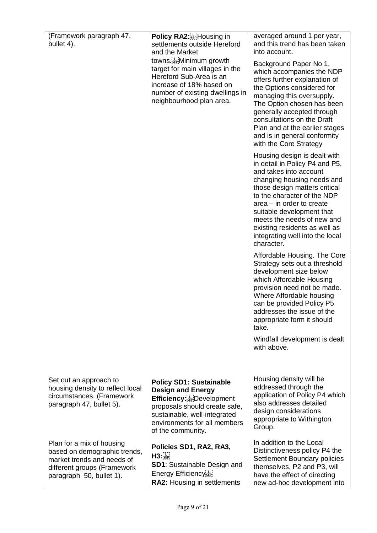| (Framework paragraph 47,<br>bullet 4).                                                                                                             | Policy RA2: Fighter Housing in<br>settlements outside Hereford<br>and the Market<br>towns. Em Minimum growth<br>target for main villages in the<br>Hereford Sub-Area is an<br>increase of 18% based on<br>number of existing dwellings in<br>neighbourhood plan area. | averaged around 1 per year,<br>and this trend has been taken<br>into account.<br>Background Paper No 1,<br>which accompanies the NDP<br>offers further explanation of<br>the Options considered for<br>managing this oversupply.<br>The Option chosen has been<br>generally accepted through<br>consultations on the Draft<br>Plan and at the earlier stages<br>and is in general conformity<br>with the Core Strategy<br>Housing design is dealt with<br>in detail in Policy P4 and P5,<br>and takes into account<br>changing housing needs and<br>those design matters critical<br>to the character of the NDP |
|----------------------------------------------------------------------------------------------------------------------------------------------------|-----------------------------------------------------------------------------------------------------------------------------------------------------------------------------------------------------------------------------------------------------------------------|------------------------------------------------------------------------------------------------------------------------------------------------------------------------------------------------------------------------------------------------------------------------------------------------------------------------------------------------------------------------------------------------------------------------------------------------------------------------------------------------------------------------------------------------------------------------------------------------------------------|
|                                                                                                                                                    |                                                                                                                                                                                                                                                                       | $area - in order to create$<br>suitable development that<br>meets the needs of new and<br>existing residents as well as<br>integrating well into the local<br>character.                                                                                                                                                                                                                                                                                                                                                                                                                                         |
|                                                                                                                                                    |                                                                                                                                                                                                                                                                       | Affordable Housing. The Core<br>Strategy sets out a threshold<br>development size below<br>which Affordable Housing<br>provision need not be made.<br>Where Affordable housing<br>can be provided Policy P5<br>addresses the issue of the<br>appropriate form it should<br>take.                                                                                                                                                                                                                                                                                                                                 |
|                                                                                                                                                    |                                                                                                                                                                                                                                                                       | Windfall development is dealt<br>with above.                                                                                                                                                                                                                                                                                                                                                                                                                                                                                                                                                                     |
| Set out an approach to<br>housing density to reflect local<br>circumstances. (Framework<br>paragraph 47, bullet 5).                                | <b>Policy SD1: Sustainable</b><br><b>Design and Energy</b><br><b>Efficiency:</b> Exercise Development<br>proposals should create safe,<br>sustainable, well-integrated<br>environments for all members<br>of the community.                                           | Housing density will be<br>addressed through the<br>application of Policy P4 which<br>also addresses detailed<br>design considerations<br>appropriate to Withington<br>Group.                                                                                                                                                                                                                                                                                                                                                                                                                                    |
| Plan for a mix of housing<br>based on demographic trends,<br>market trends and needs of<br>different groups (Framework<br>paragraph 50, bullet 1). | Policies SD1, RA2, RA3,<br>H3:SEP<br><b>SD1:</b> Sustainable Design and<br>Energy Efficiency <sup>[1]</sup><br>RA2: Housing in settlements                                                                                                                            | In addition to the Local<br>Distinctiveness policy P4 the<br>Settlement Boundary policies<br>themselves, P2 and P3, will<br>have the effect of directing<br>new ad-hoc development into                                                                                                                                                                                                                                                                                                                                                                                                                          |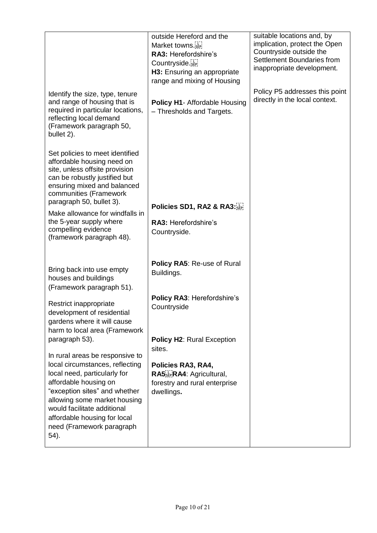|                                                                                                                                                                                                                                                                                                  | outside Hereford and the<br>Market towns.<br>RA3: Herefordshire's<br>Countryside.<br>H3: Ensuring an appropriate<br>range and mixing of Housing | suitable locations and, by<br>implication, protect the Open<br>Countryside outside the<br>Settlement Boundaries from<br>inappropriate development. |
|--------------------------------------------------------------------------------------------------------------------------------------------------------------------------------------------------------------------------------------------------------------------------------------------------|-------------------------------------------------------------------------------------------------------------------------------------------------|----------------------------------------------------------------------------------------------------------------------------------------------------|
| Identify the size, type, tenure<br>and range of housing that is<br>required in particular locations,<br>reflecting local demand<br>(Framework paragraph 50,<br>bullet 2).                                                                                                                        | Policy H1- Affordable Housing<br>- Thresholds and Targets.                                                                                      | Policy P5 addresses this point<br>directly in the local context.                                                                                   |
| Set policies to meet identified<br>affordable housing need on<br>site, unless offsite provision<br>can be robustly justified but<br>ensuring mixed and balanced<br>communities (Framework<br>paragraph 50, bullet 3).                                                                            |                                                                                                                                                 |                                                                                                                                                    |
| Make allowance for windfalls in                                                                                                                                                                                                                                                                  | Policies SD1, RA2 & RA3:                                                                                                                        |                                                                                                                                                    |
| the 5-year supply where<br>compelling evidence<br>(framework paragraph 48).                                                                                                                                                                                                                      | RA3: Herefordshire's<br>Countryside.                                                                                                            |                                                                                                                                                    |
| Bring back into use empty<br>houses and buildings<br>(Framework paragraph 51).                                                                                                                                                                                                                   | Policy RA5: Re-use of Rural<br>Buildings.                                                                                                       |                                                                                                                                                    |
| Restrict inappropriate<br>development of residential<br>gardens where it will cause<br>harm to local area (Framework                                                                                                                                                                             | Policy RA3: Herefordshire's<br>Countryside                                                                                                      |                                                                                                                                                    |
| paragraph 53).                                                                                                                                                                                                                                                                                   | <b>Policy H2: Rural Exception</b><br>sites.                                                                                                     |                                                                                                                                                    |
| In rural areas be responsive to<br>local circumstances, reflecting<br>local need, particularly for<br>affordable housing on<br>"exception sites" and whether<br>allowing some market housing<br>would facilitate additional<br>affordable housing for local<br>need (Framework paragraph<br>54). | Policies RA3, RA4,<br>RA5.EPRA4: Agricultural,<br>forestry and rural enterprise<br>dwellings.                                                   |                                                                                                                                                    |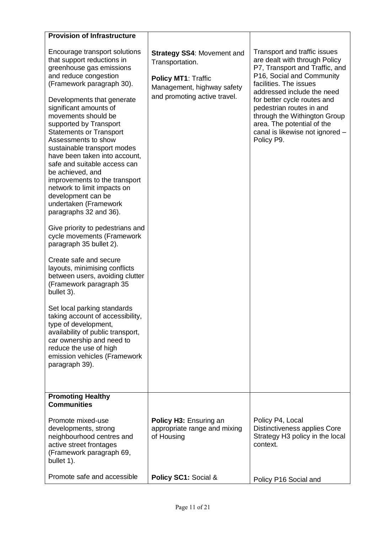| <b>Provision of Infrastructure</b>                                                                                                                                                                                                                                                                                                                                                                                                                                                                                                                                                                                                                                                                                                                                                                 |                                                                                                                                           |                                                                                                                                                                                                                                                                                                                                                                |
|----------------------------------------------------------------------------------------------------------------------------------------------------------------------------------------------------------------------------------------------------------------------------------------------------------------------------------------------------------------------------------------------------------------------------------------------------------------------------------------------------------------------------------------------------------------------------------------------------------------------------------------------------------------------------------------------------------------------------------------------------------------------------------------------------|-------------------------------------------------------------------------------------------------------------------------------------------|----------------------------------------------------------------------------------------------------------------------------------------------------------------------------------------------------------------------------------------------------------------------------------------------------------------------------------------------------------------|
| Encourage transport solutions<br>that support reductions in<br>greenhouse gas emissions<br>and reduce congestion<br>(Framework paragraph 30).<br>Developments that generate<br>significant amounts of<br>movements should be<br>supported by Transport<br><b>Statements or Transport</b><br>Assessments to show<br>sustainable transport modes<br>have been taken into account,<br>safe and suitable access can<br>be achieved, and<br>improvements to the transport<br>network to limit impacts on<br>development can be<br>undertaken (Framework<br>paragraphs 32 and 36).<br>Give priority to pedestrians and<br>cycle movements (Framework<br>paragraph 35 bullet 2).<br>Create safe and secure<br>layouts, minimising conflicts<br>between users, avoiding clutter<br>(Framework paragraph 35 | <b>Strategy SS4: Movement and</b><br>Transportation.<br>Policy MT1: Traffic<br>Management, highway safety<br>and promoting active travel. | Transport and traffic issues<br>are dealt with through Policy<br>P7, Transport and Traffic, and<br>P16, Social and Community<br>facilities. The issues<br>addressed include the need<br>for better cycle routes and<br>pedestrian routes in and<br>through the Withington Group<br>area. The potential of the<br>canal is likewise not ignored -<br>Policy P9. |
| bullet 3).<br>Set local parking standards<br>taking account of accessibility,<br>type of development,<br>availability of public transport,<br>car ownership and need to<br>reduce the use of high<br>emission vehicles (Framework<br>paragraph 39).                                                                                                                                                                                                                                                                                                                                                                                                                                                                                                                                                |                                                                                                                                           |                                                                                                                                                                                                                                                                                                                                                                |
| <b>Promoting Healthy</b><br><b>Communities</b>                                                                                                                                                                                                                                                                                                                                                                                                                                                                                                                                                                                                                                                                                                                                                     |                                                                                                                                           |                                                                                                                                                                                                                                                                                                                                                                |
| Promote mixed-use<br>developments, strong<br>neighbourhood centres and<br>active street frontages<br>(Framework paragraph 69,<br>bullet 1).                                                                                                                                                                                                                                                                                                                                                                                                                                                                                                                                                                                                                                                        | <b>Policy H3: Ensuring an</b><br>appropriate range and mixing<br>of Housing                                                               | Policy P4, Local<br>Distinctiveness applies Core<br>Strategy H3 policy in the local<br>context.                                                                                                                                                                                                                                                                |
| Promote safe and accessible                                                                                                                                                                                                                                                                                                                                                                                                                                                                                                                                                                                                                                                                                                                                                                        | Policy SC1: Social &                                                                                                                      | Policy P16 Social and                                                                                                                                                                                                                                                                                                                                          |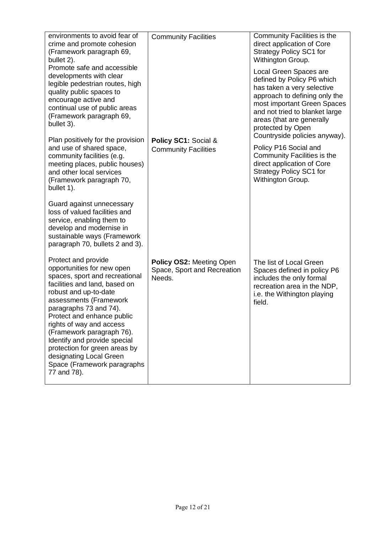| environments to avoid fear of<br>crime and promote cohesion<br>(Framework paragraph 69,<br>bullet 2).                                                                                                                                                                                                                                                                                                                              | <b>Community Facilities</b>                                              | Community Facilities is the<br>direct application of Core<br><b>Strategy Policy SC1 for</b><br>Withington Group.                                                                                                                                                        |
|------------------------------------------------------------------------------------------------------------------------------------------------------------------------------------------------------------------------------------------------------------------------------------------------------------------------------------------------------------------------------------------------------------------------------------|--------------------------------------------------------------------------|-------------------------------------------------------------------------------------------------------------------------------------------------------------------------------------------------------------------------------------------------------------------------|
| Promote safe and accessible<br>developments with clear<br>legible pedestrian routes, high<br>quality public spaces to<br>encourage active and<br>continual use of public areas<br>(Framework paragraph 69,<br>bullet 3).                                                                                                                                                                                                           |                                                                          | Local Green Spaces are<br>defined by Policy P6 which<br>has taken a very selective<br>approach to defining only the<br>most important Green Spaces<br>and not tried to blanket large<br>areas (that are generally<br>protected by Open<br>Countryside policies anyway). |
| Plan positively for the provision<br>and use of shared space,<br>community facilities (e.g.<br>meeting places, public houses)<br>and other local services<br>(Framework paragraph 70,<br>bullet 1).                                                                                                                                                                                                                                | Policy SC1: Social &<br><b>Community Facilities</b>                      | Policy P16 Social and<br>Community Facilities is the<br>direct application of Core<br><b>Strategy Policy SC1 for</b><br>Withington Group.                                                                                                                               |
| Guard against unnecessary<br>loss of valued facilities and<br>service, enabling them to<br>develop and modernise in<br>sustainable ways (Framework<br>paragraph 70, bullets 2 and 3).                                                                                                                                                                                                                                              |                                                                          |                                                                                                                                                                                                                                                                         |
| Protect and provide<br>opportunities for new open<br>spaces, sport and recreational<br>facilities and land, based on<br>robust and up-to-date<br>assessments (Framework<br>paragraphs 73 and 74).<br>Protect and enhance public<br>rights of way and access<br>(Framework paragraph 76).<br>Identify and provide special<br>protection for green areas by<br>designating Local Green<br>Space (Framework paragraphs<br>77 and 78). | <b>Policy OS2: Meeting Open</b><br>Space, Sport and Recreation<br>Needs. | The list of Local Green<br>Spaces defined in policy P6<br>includes the only formal<br>recreation area in the NDP,<br>i.e. the Withington playing<br>field.                                                                                                              |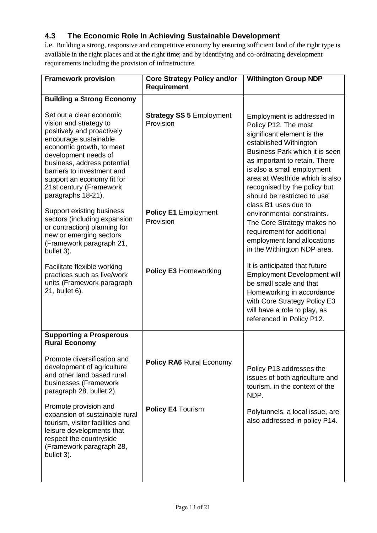# **4.3 The Economic Role In Achieving Sustainable Development**

i.e. Building a strong, responsive and competitive economy by ensuring sufficient land of the right type is available in the right places and at the right time; and by identifying and co-ordinating development requirements including the provision of infrastructure.

| <b>Framework provision</b>                                                                                                                                                                                                                                                                                | <b>Core Strategy Policy and/or</b><br><b>Requirement</b> | <b>Withington Group NDP</b>                                                                                                                                                                                                                                                                                                          |
|-----------------------------------------------------------------------------------------------------------------------------------------------------------------------------------------------------------------------------------------------------------------------------------------------------------|----------------------------------------------------------|--------------------------------------------------------------------------------------------------------------------------------------------------------------------------------------------------------------------------------------------------------------------------------------------------------------------------------------|
| <b>Building a Strong Economy</b>                                                                                                                                                                                                                                                                          |                                                          |                                                                                                                                                                                                                                                                                                                                      |
| Set out a clear economic<br>vision and strategy to<br>positively and proactively<br>encourage sustainable<br>economic growth, to meet<br>development needs of<br>business, address potential<br>barriers to investment and<br>support an economy fit for<br>21st century (Framework<br>paragraphs 18-21). | <b>Strategy SS 5 Employment</b><br>Provision             | Employment is addressed in<br>Policy P12. The most<br>significant element is the<br>established Withington<br>Business Park which it is seen<br>as important to retain. There<br>is also a small employment<br>area at Westhide which is also<br>recognised by the policy but<br>should be restricted to use<br>class B1 uses due to |
| Support existing business<br>sectors (including expansion<br>or contraction) planning for<br>new or emerging sectors<br>(Framework paragraph 21,<br>bullet 3).                                                                                                                                            | <b>Policy E1 Employment</b><br>Provision                 | environmental constraints.<br>The Core Strategy makes no<br>requirement for additional<br>employment land allocations<br>in the Withington NDP area.                                                                                                                                                                                 |
| Facilitate flexible working<br>practices such as live/work<br>units (Framework paragraph<br>21, bullet 6).                                                                                                                                                                                                | <b>Policy E3 Homeworking</b>                             | It is anticipated that future<br><b>Employment Development will</b><br>be small scale and that<br>Homeworking in accordance<br>with Core Strategy Policy E3<br>will have a role to play, as<br>referenced in Policy P12.                                                                                                             |
| <b>Supporting a Prosperous</b><br><b>Rural Economy</b>                                                                                                                                                                                                                                                    |                                                          |                                                                                                                                                                                                                                                                                                                                      |
| Promote diversification and<br>development of agriculture<br>and other land based rural<br>businesses (Framework<br>paragraph 28, bullet 2).                                                                                                                                                              | <b>Policy RA6 Rural Economy</b>                          | Policy P13 addresses the<br>issues of both agriculture and<br>tourism. in the context of the<br>NDP.                                                                                                                                                                                                                                 |
| Promote provision and<br>expansion of sustainable rural<br>tourism, visitor facilities and<br>leisure developments that<br>respect the countryside<br>(Framework paragraph 28,<br>bullet 3).                                                                                                              | <b>Policy E4 Tourism</b>                                 | Polytunnels, a local issue, are<br>also addressed in policy P14.                                                                                                                                                                                                                                                                     |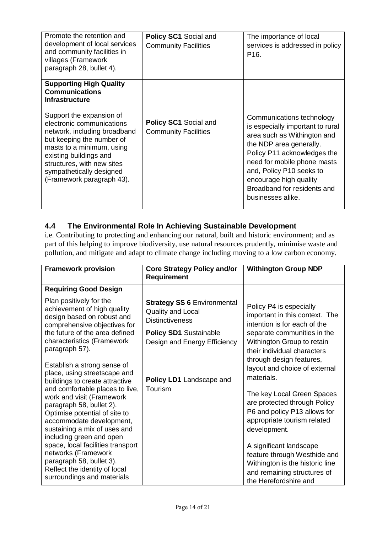| Promote the retention and<br>development of local services<br>and community facilities in<br>villages (Framework<br>paragraph 28, bullet 4).                                                                                                                     | <b>Policy SC1 Social and</b><br><b>Community Facilities</b> | The importance of local<br>services is addressed in policy<br>P <sub>16</sub> .                                                                                                                                                                                                                 |
|------------------------------------------------------------------------------------------------------------------------------------------------------------------------------------------------------------------------------------------------------------------|-------------------------------------------------------------|-------------------------------------------------------------------------------------------------------------------------------------------------------------------------------------------------------------------------------------------------------------------------------------------------|
| <b>Supporting High Quality</b><br><b>Communications</b><br><b>Infrastructure</b>                                                                                                                                                                                 |                                                             |                                                                                                                                                                                                                                                                                                 |
| Support the expansion of<br>electronic communications<br>network, including broadband<br>but keeping the number of<br>masts to a minimum, using<br>existing buildings and<br>structures, with new sites<br>sympathetically designed<br>(Framework paragraph 43). | <b>Policy SC1 Social and</b><br><b>Community Facilities</b> | Communications technology<br>is especially important to rural<br>area such as Withington and<br>the NDP area generally.<br>Policy P11 acknowledges the<br>need for mobile phone masts<br>and, Policy P10 seeks to<br>encourage high quality<br>Broadband for residents and<br>businesses alike. |

# **4.4 The Environmental Role In Achieving Sustainable Development**

i.e. Contributing to protecting and enhancing our natural, built and historic environment; and as part of this helping to improve biodiversity, use natural resources prudently, minimise waste and pollution, and mitigate and adapt to climate change including moving to a low carbon economy.

| <b>Framework provision</b>                                                                                                                                                      | <b>Core Strategy Policy and/or</b><br><b>Requirement</b>                                 | <b>Withington Group NDP</b>                                                                                                                        |
|---------------------------------------------------------------------------------------------------------------------------------------------------------------------------------|------------------------------------------------------------------------------------------|----------------------------------------------------------------------------------------------------------------------------------------------------|
| <b>Requiring Good Design</b>                                                                                                                                                    |                                                                                          |                                                                                                                                                    |
| Plan positively for the<br>achievement of high quality<br>design based on robust and<br>comprehensive objectives for                                                            | <b>Strategy SS 6 Environmental</b><br><b>Quality and Local</b><br><b>Distinctiveness</b> | Policy P4 is especially<br>important in this context. The<br>intention is for each of the                                                          |
| the future of the area defined<br>characteristics (Framework<br>paragraph 57).                                                                                                  | <b>Policy SD1 Sustainable</b><br>Design and Energy Efficiency                            | separate communities in the<br>Withington Group to retain<br>their individual characters<br>through design features,                               |
| Establish a strong sense of<br>place, using streetscape and<br>buildings to create attractive<br>and comfortable places to live,                                                | Policy LD1 Landscape and<br>Tourism                                                      | layout and choice of external<br>materials.                                                                                                        |
| work and visit (Framework<br>paragraph 58, bullet 2).<br>Optimise potential of site to<br>accommodate development,<br>sustaining a mix of uses and                              |                                                                                          | The key Local Green Spaces<br>are protected through Policy<br>P6 and policy P13 allows for<br>appropriate tourism related<br>development.          |
| including green and open<br>space, local facilities transport<br>networks (Framework<br>paragraph 58, bullet 3).<br>Reflect the identity of local<br>surroundings and materials |                                                                                          | A significant landscape<br>feature through Westhide and<br>Withington is the historic line<br>and remaining structures of<br>the Herefordshire and |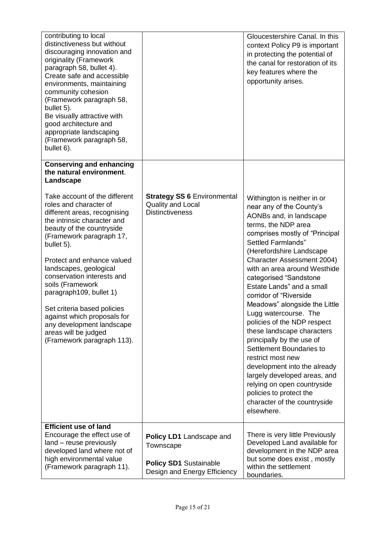| contributing to local<br>distinctiveness but without<br>discouraging innovation and<br>originality (Framework<br>paragraph 58, bullet 4).<br>Create safe and accessible<br>environments, maintaining<br>community cohesion<br>(Framework paragraph 58,<br>bullet 5).<br>Be visually attractive with<br>good architecture and<br>appropriate landscaping<br>(Framework paragraph 58,<br>bullet 6). |                                                                                                        | Gloucestershire Canal. In this<br>context Policy P9 is important<br>in protecting the potential of<br>the canal for restoration of its<br>key features where the<br>opportunity arises.                                                                                                                                                                                                             |
|---------------------------------------------------------------------------------------------------------------------------------------------------------------------------------------------------------------------------------------------------------------------------------------------------------------------------------------------------------------------------------------------------|--------------------------------------------------------------------------------------------------------|-----------------------------------------------------------------------------------------------------------------------------------------------------------------------------------------------------------------------------------------------------------------------------------------------------------------------------------------------------------------------------------------------------|
| <b>Conserving and enhancing</b><br>the natural environment.<br>Landscape                                                                                                                                                                                                                                                                                                                          |                                                                                                        |                                                                                                                                                                                                                                                                                                                                                                                                     |
| Take account of the different<br>roles and character of<br>different areas, recognising<br>the intrinsic character and<br>beauty of the countryside<br>(Framework paragraph 17,<br>bullet 5).<br>Protect and enhance valued<br>landscapes, geological<br>conservation interests and<br>soils (Framework<br>paragraph109, bullet 1)                                                                | <b>Strategy SS 6 Environmental</b><br><b>Quality and Local</b><br><b>Distinctiveness</b>               | Withington is neither in or<br>near any of the County's<br>AONBs and, in landscape<br>terms, the NDP area<br>comprises mostly of "Principal<br>Settled Farmlands"<br>(Herefordshire Landscape<br><b>Character Assessment 2004)</b><br>with an area around Westhide<br>categorised "Sandstone<br>Estate Lands" and a small                                                                           |
| Set criteria based policies<br>against which proposals for<br>any development landscape<br>areas will be judged<br>(Framework paragraph 113).                                                                                                                                                                                                                                                     |                                                                                                        | corridor of "Riverside<br>Meadows" alongside the Little<br>Lugg watercourse. The<br>policies of the NDP respect<br>these landscape characters<br>principally by the use of<br>Settlement Boundaries to<br>restrict most new<br>development into the already<br>largely developed areas, and<br>relying on open countryside<br>policies to protect the<br>character of the countryside<br>elsewhere. |
| <b>Efficient use of land</b><br>Encourage the effect use of<br>land - reuse previously<br>developed land where not of<br>high environmental value<br>(Framework paragraph 11).                                                                                                                                                                                                                    | Policy LD1 Landscape and<br>Townscape<br><b>Policy SD1 Sustainable</b><br>Design and Energy Efficiency | There is very little Previously<br>Developed Land available for<br>development in the NDP area<br>but some does exist, mostly<br>within the settlement<br>boundaries.                                                                                                                                                                                                                               |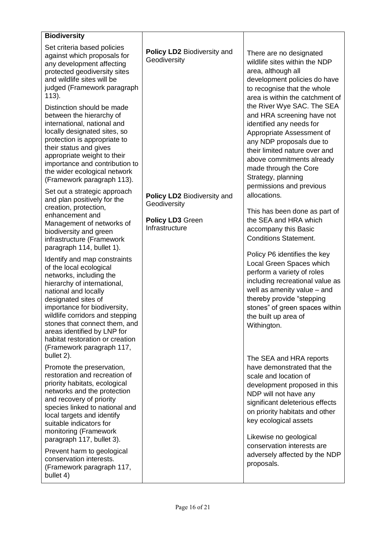| <b>Biodiversity</b>                                                                                                                                                                                                                                                                                                                                                               |                                                                                          |                                                                                                                                                                                                                                                                                               |
|-----------------------------------------------------------------------------------------------------------------------------------------------------------------------------------------------------------------------------------------------------------------------------------------------------------------------------------------------------------------------------------|------------------------------------------------------------------------------------------|-----------------------------------------------------------------------------------------------------------------------------------------------------------------------------------------------------------------------------------------------------------------------------------------------|
| Set criteria based policies<br>against which proposals for<br>any development affecting<br>protected geodiversity sites<br>and wildlife sites will be<br>judged (Framework paragraph<br>$113$ ).                                                                                                                                                                                  | Policy LD2 Biodiversity and<br>Geodiversity                                              | There are no designated<br>wildlife sites within the NDP<br>area, although all<br>development policies do have<br>to recognise that the whole<br>area is within the catchment of                                                                                                              |
| Distinction should be made<br>between the hierarchy of<br>international, national and<br>locally designated sites, so<br>protection is appropriate to<br>their status and gives<br>appropriate weight to their<br>importance and contribution to<br>the wider ecological network<br>(Framework paragraph 113).                                                                    |                                                                                          | the River Wye SAC. The SEA<br>and HRA screening have not<br>identified any needs for<br>Appropriate Assessment of<br>any NDP proposals due to<br>their limited nature over and<br>above commitments already<br>made through the Core<br>Strategy, planning<br>permissions and previous        |
| Set out a strategic approach<br>and plan positively for the<br>creation, protection,<br>enhancement and<br>Management of networks of<br>biodiversity and green<br>infrastructure (Framework<br>paragraph 114, bullet 1).                                                                                                                                                          | Policy LD2 Biodiversity and<br>Geodiversity<br><b>Policy LD3 Green</b><br>Infrastructure | allocations.<br>This has been done as part of<br>the SEA and HRA which<br>accompany this Basic<br><b>Conditions Statement.</b>                                                                                                                                                                |
| Identify and map constraints<br>of the local ecological<br>networks, including the<br>hierarchy of international,<br>national and locally<br>designated sites of<br>importance for biodiversity,<br>wildlife corridors and stepping<br>stones that connect them, and<br>areas identified by LNP for<br>habitat restoration or creation<br>(Framework paragraph 117,<br>bullet 2). |                                                                                          | Policy P6 identifies the key<br>Local Green Spaces which<br>perform a variety of roles<br>including recreational value as<br>well as amenity value - and<br>thereby provide "stepping<br>stones" of green spaces within<br>the built up area of<br>Withington.                                |
| Promote the preservation,<br>restoration and recreation of<br>priority habitats, ecological<br>networks and the protection<br>and recovery of priority<br>species linked to national and<br>local targets and identify<br>suitable indicators for<br>monitoring (Framework<br>paragraph 117, bullet 3).                                                                           |                                                                                          | The SEA and HRA reports<br>have demonstrated that the<br>scale and location of<br>development proposed in this<br>NDP will not have any<br>significant deleterious effects<br>on priority habitats and other<br>key ecological assets<br>Likewise no geological<br>conservation interests are |
| Prevent harm to geological<br>conservation interests.<br>(Framework paragraph 117,<br>bullet 4)                                                                                                                                                                                                                                                                                   |                                                                                          | adversely affected by the NDP<br>proposals.                                                                                                                                                                                                                                                   |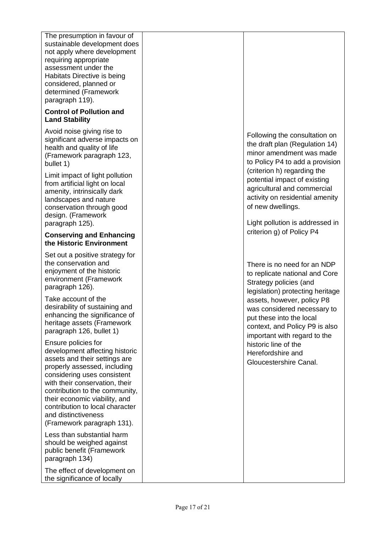| The presumption in favour of<br>sustainable development does<br>not apply where development<br>requiring appropriate<br>assessment under the<br>Habitats Directive is being<br>considered, planned or<br>determined (Framework<br>paragraph 119).                                                                                                  |                                                                                                                                                         |
|----------------------------------------------------------------------------------------------------------------------------------------------------------------------------------------------------------------------------------------------------------------------------------------------------------------------------------------------------|---------------------------------------------------------------------------------------------------------------------------------------------------------|
| <b>Control of Pollution and</b><br><b>Land Stability</b>                                                                                                                                                                                                                                                                                           |                                                                                                                                                         |
| Avoid noise giving rise to<br>significant adverse impacts on<br>health and quality of life<br>(Framework paragraph 123,<br>bullet 1)                                                                                                                                                                                                               | Following the consultation on<br>the draft plan (Regulation 14)<br>minor amendment was made<br>to Policy P4 to add a provision                          |
| Limit impact of light pollution<br>from artificial light on local<br>amenity, intrinsically dark<br>landscapes and nature<br>conservation through good<br>design. (Framework                                                                                                                                                                       | (criterion h) regarding the<br>potential impact of existing<br>agricultural and commercial<br>activity on residential amenity<br>of new dwellings.      |
| paragraph 125).<br><b>Conserving and Enhancing</b>                                                                                                                                                                                                                                                                                                 | Light pollution is addressed in<br>criterion g) of Policy P4                                                                                            |
| the Historic Environment                                                                                                                                                                                                                                                                                                                           |                                                                                                                                                         |
| Set out a positive strategy for<br>the conservation and<br>enjoyment of the historic<br>environment (Framework<br>paragraph 126).                                                                                                                                                                                                                  | There is no need for an NDP<br>to replicate national and Core<br>Strategy policies (and<br>legislation) protecting heritage                             |
| Take account of the<br>desirability of sustaining and<br>enhancing the significance of<br>heritage assets (Framework<br>paragraph 126, bullet 1)                                                                                                                                                                                                   | assets, however, policy P8<br>was considered necessary to<br>put these into the local<br>context, and Policy P9 is also<br>important with regard to the |
| Ensure policies for<br>development affecting historic<br>assets and their settings are<br>properly assessed, including<br>considering uses consistent<br>with their conservation, their<br>contribution to the community,<br>their economic viability, and<br>contribution to local character<br>and distinctiveness<br>(Framework paragraph 131). | historic line of the<br>Herefordshire and<br>Gloucestershire Canal.                                                                                     |
| Less than substantial harm<br>should be weighed against<br>public benefit (Framework<br>paragraph 134)                                                                                                                                                                                                                                             |                                                                                                                                                         |
| The effect of development on<br>the significance of locally                                                                                                                                                                                                                                                                                        |                                                                                                                                                         |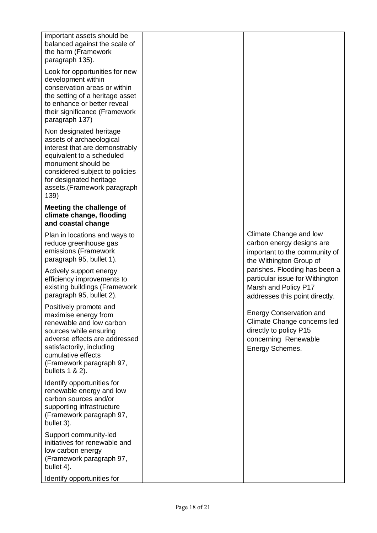| important assets should be<br>balanced against the scale of<br>the harm (Framework<br>paragraph 135).<br>Look for opportunities for new<br>development within<br>conservation areas or within<br>the setting of a heritage asset<br>to enhance or better reveal<br>their significance (Framework<br>paragraph 137)<br>Non designated heritage<br>assets of archaeological<br>interest that are demonstrably<br>equivalent to a scheduled<br>monument should be<br>considered subject to policies<br>for designated heritage<br>assets.(Framework paragraph<br>139) |                                                                                                                                    |
|--------------------------------------------------------------------------------------------------------------------------------------------------------------------------------------------------------------------------------------------------------------------------------------------------------------------------------------------------------------------------------------------------------------------------------------------------------------------------------------------------------------------------------------------------------------------|------------------------------------------------------------------------------------------------------------------------------------|
| Meeting the challenge of<br>climate change, flooding<br>and coastal change                                                                                                                                                                                                                                                                                                                                                                                                                                                                                         |                                                                                                                                    |
| Plan in locations and ways to<br>reduce greenhouse gas<br>emissions (Framework<br>paragraph 95, bullet 1).                                                                                                                                                                                                                                                                                                                                                                                                                                                         | Climate Change and low<br>carbon energy designs are<br>important to the community of<br>the Withington Group of                    |
| Actively support energy<br>efficiency improvements to<br>existing buildings (Framework<br>paragraph 95, bullet 2).                                                                                                                                                                                                                                                                                                                                                                                                                                                 | parishes. Flooding has been a<br>particular issue for Withington<br>Marsh and Policy P17<br>addresses this point directly.         |
| Positively promote and<br>maximise energy from<br>renewable and low carbon<br>sources while ensuring<br>adverse effects are addressed<br>satisfactorily, including<br>cumulative effects<br>(Framework paragraph 97,<br>bullets 1 & 2).                                                                                                                                                                                                                                                                                                                            | <b>Energy Conservation and</b><br>Climate Change concerns led<br>directly to policy P15<br>concerning Renewable<br>Energy Schemes. |
| Identify opportunities for<br>renewable energy and low<br>carbon sources and/or<br>supporting infrastructure<br>(Framework paragraph 97,<br>bullet 3).                                                                                                                                                                                                                                                                                                                                                                                                             |                                                                                                                                    |
| Support community-led<br>initiatives for renewable and<br>low carbon energy<br>(Framework paragraph 97,<br>bullet 4).                                                                                                                                                                                                                                                                                                                                                                                                                                              |                                                                                                                                    |
| Identify opportunities for                                                                                                                                                                                                                                                                                                                                                                                                                                                                                                                                         |                                                                                                                                    |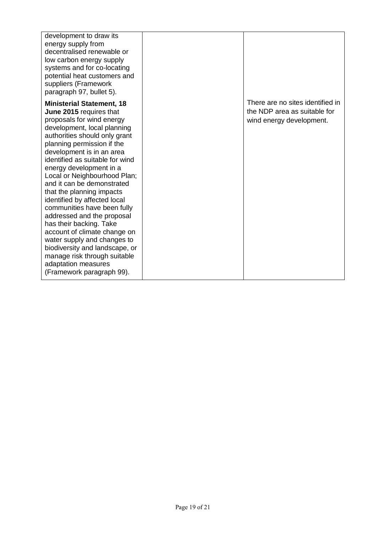| development to draw its<br>energy supply from<br>decentralised renewable or<br>low carbon energy supply<br>systems and for co-locating<br>potential heat customers and<br>suppliers (Framework<br>paragraph 97, bullet 5).                                                                                                                                                                                                                                                                                                                                                                                                                                                                |                                                                                              |
|-------------------------------------------------------------------------------------------------------------------------------------------------------------------------------------------------------------------------------------------------------------------------------------------------------------------------------------------------------------------------------------------------------------------------------------------------------------------------------------------------------------------------------------------------------------------------------------------------------------------------------------------------------------------------------------------|----------------------------------------------------------------------------------------------|
| <b>Ministerial Statement, 18</b><br>June 2015 requires that<br>proposals for wind energy<br>development, local planning<br>authorities should only grant<br>planning permission if the<br>development is in an area<br>identified as suitable for wind<br>energy development in a<br>Local or Neighbourhood Plan;<br>and it can be demonstrated<br>that the planning impacts<br>identified by affected local<br>communities have been fully<br>addressed and the proposal<br>has their backing. Take<br>account of climate change on<br>water supply and changes to<br>biodiversity and landscape, or<br>manage risk through suitable<br>adaptation measures<br>(Framework paragraph 99). | There are no sites identified in<br>the NDP area as suitable for<br>wind energy development. |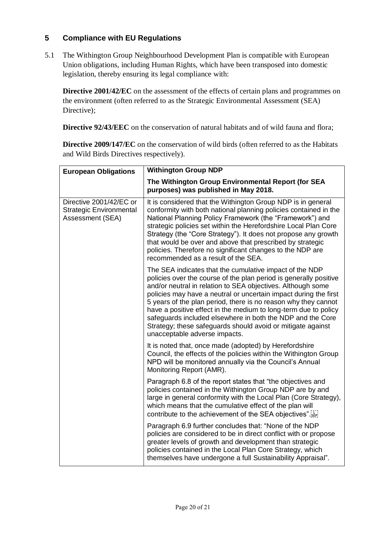## **5 Compliance with EU Regulations**

5.1 The Withington Group Neighbourhood Development Plan is compatible with European Union obligations, including Human Rights, which have been transposed into domestic legislation, thereby ensuring its legal compliance with:

**Directive 2001/42/EC** on the assessment of the effects of certain plans and programmes on the environment (often referred to as the Strategic Environmental Assessment (SEA) Directive);

**Directive 92/43/EEC** on the conservation of natural habitats and of wild fauna and flora;

**Directive 2009/147/EC** on the conservation of wild birds (often referred to as the Habitats and Wild Birds Directives respectively).

| <b>European Obligations</b>                                                   | <b>Withington Group NDP</b>                                                                                                                                                                                                                                                                                                                                                                                                                                                                                                                                        |  |
|-------------------------------------------------------------------------------|--------------------------------------------------------------------------------------------------------------------------------------------------------------------------------------------------------------------------------------------------------------------------------------------------------------------------------------------------------------------------------------------------------------------------------------------------------------------------------------------------------------------------------------------------------------------|--|
|                                                                               | The Withington Group Environmental Report (for SEA<br>purposes) was published in May 2018.                                                                                                                                                                                                                                                                                                                                                                                                                                                                         |  |
| Directive 2001/42/EC or<br><b>Strategic Environmental</b><br>Assessment (SEA) | It is considered that the Withington Group NDP is in general<br>conformity with both national planning policies contained in the<br>National Planning Policy Framework (the "Framework") and<br>strategic policies set within the Herefordshire Local Plan Core<br>Strategy (the "Core Strategy"). It does not propose any growth<br>that would be over and above that prescribed by strategic<br>policies. Therefore no significant changes to the NDP are<br>recommended as a result of the SEA.                                                                 |  |
|                                                                               | The SEA indicates that the cumulative impact of the NDP<br>policies over the course of the plan period is generally positive<br>and/or neutral in relation to SEA objectives. Although some<br>policies may have a neutral or uncertain impact during the first<br>5 years of the plan period, there is no reason why they cannot<br>have a positive effect in the medium to long-term due to policy<br>safeguards included elsewhere in both the NDP and the Core<br>Strategy; these safeguards should avoid or mitigate against<br>unacceptable adverse impacts. |  |
|                                                                               | It is noted that, once made (adopted) by Herefordshire<br>Council, the effects of the policies within the Withington Group<br>NPD will be monitored annually via the Council's Annual<br>Monitoring Report (AMR).                                                                                                                                                                                                                                                                                                                                                  |  |
|                                                                               | Paragraph 6.8 of the report states that "the objectives and<br>policies contained in the Withington Group NDP are by and<br>large in general conformity with the Local Plan (Core Strategy),<br>which means that the cumulative effect of the plan will<br>contribute to the achievement of the SEA objectives".                                                                                                                                                                                                                                                   |  |
|                                                                               | Paragraph 6.9 further concludes that: "None of the NDP<br>policies are considered to be in direct conflict with or propose<br>greater levels of growth and development than strategic<br>policies contained in the Local Plan Core Strategy, which<br>themselves have undergone a full Sustainability Appraisal".                                                                                                                                                                                                                                                  |  |